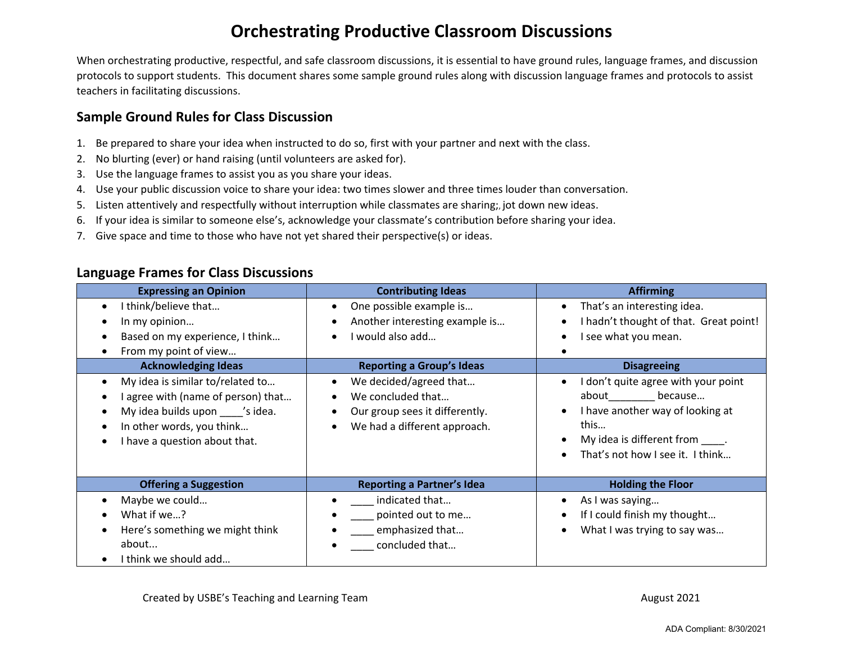## **Orchestrating Productive Classroom Discussions**

When orchestrating productive, respectful, and safe classroom discussions, it is essential to have ground rules, language frames, and discussion protocols to support students. This document shares some sample ground rules along with discussion language frames and protocols to assist teachers in facilitating discussions.

## **Sample Ground Rules for Class Discussion**

- 1. Be prepared to share your idea when instructed to do so, first with your partner and next with the class.
- 2. No blurting (ever) or hand raising (until volunteers are asked for).
- 3. Use the language frames to assist you as you share your ideas.
- 4. Use your public discussion voice to share your idea: two times slower and three times louder than conversation.
- 5. Listen attentively and respectfully without interruption while classmates are sharing;, jot down new ideas.
- 6. If your idea is similar to someone else's, acknowledge your classmate's contribution before sharing your idea.
- 7. Give space and time to those who have not yet shared their perspective(s) or ideas.

## **Language Frames for Class Discussions**

| <b>Expressing an Opinion</b>                                                                                                                                              | <b>Contributing Ideas</b>                                                                                     | <b>Affirming</b>                                                                                                                                                            |
|---------------------------------------------------------------------------------------------------------------------------------------------------------------------------|---------------------------------------------------------------------------------------------------------------|-----------------------------------------------------------------------------------------------------------------------------------------------------------------------------|
| I think/believe that<br>In my opinion<br>Based on my experience, I think<br>From my point of view                                                                         | One possible example is<br>Another interesting example is<br>I would also add                                 | That's an interesting idea.<br>I hadn't thought of that. Great point!<br>I see what you mean.                                                                               |
| <b>Acknowledging Ideas</b>                                                                                                                                                | <b>Reporting a Group's Ideas</b>                                                                              | <b>Disagreeing</b>                                                                                                                                                          |
| My idea is similar to/related to<br>I agree with (name of person) that<br>My idea builds upon ____ 's idea.<br>In other words, you think<br>I have a question about that. | We decided/agreed that<br>We concluded that<br>Our group sees it differently.<br>We had a different approach. | I don't quite agree with your point<br>because<br>about<br>I have another way of looking at<br>this<br>My idea is different from _____.<br>That's not how I see it. I think |
| <b>Offering a Suggestion</b>                                                                                                                                              | <b>Reporting a Partner's Idea</b>                                                                             | <b>Holding the Floor</b>                                                                                                                                                    |
| Maybe we could<br>What if we?<br>Here's something we might think<br>about<br>I think we should add                                                                        | indicated that<br>pointed out to me<br>emphasized that<br>concluded that                                      | As I was saying<br>If I could finish my thought<br>What I was trying to say was                                                                                             |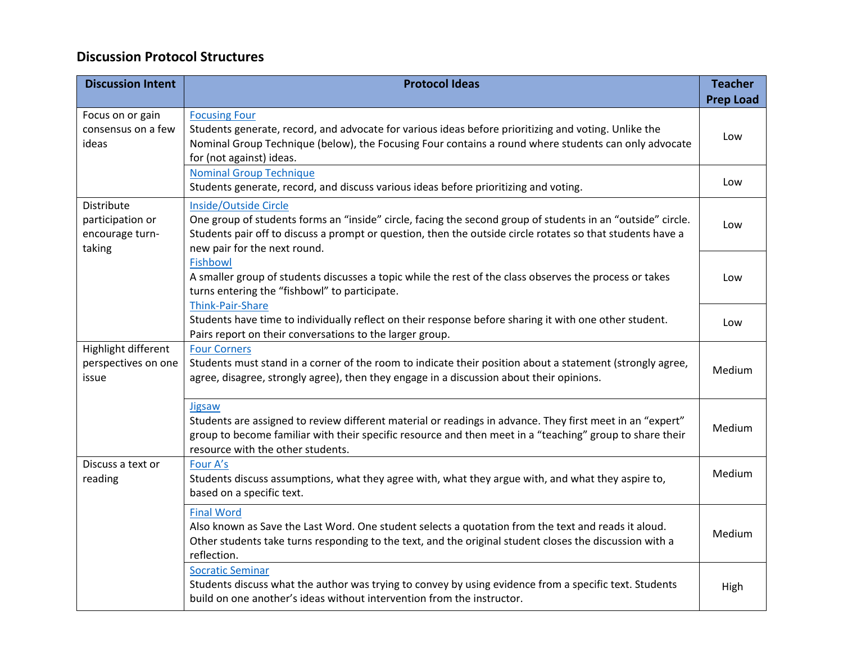## **Discussion Protocol Structures**

| <b>Discussion Intent</b>                                    | <b>Protocol Ideas</b>                                                                                                                                                                                                                                                              | <b>Teacher</b><br><b>Prep Load</b> |
|-------------------------------------------------------------|------------------------------------------------------------------------------------------------------------------------------------------------------------------------------------------------------------------------------------------------------------------------------------|------------------------------------|
| Focus on or gain<br>consensus on a few<br>ideas             | <b>Focusing Four</b><br>Students generate, record, and advocate for various ideas before prioritizing and voting. Unlike the<br>Nominal Group Technique (below), the Focusing Four contains a round where students can only advocate<br>for (not against) ideas.                   | Low                                |
|                                                             | <b>Nominal Group Technique</b><br>Students generate, record, and discuss various ideas before prioritizing and voting.                                                                                                                                                             | Low                                |
| Distribute<br>participation or<br>encourage turn-<br>taking | Inside/Outside Circle<br>One group of students forms an "inside" circle, facing the second group of students in an "outside" circle.<br>Students pair off to discuss a prompt or question, then the outside circle rotates so that students have a<br>new pair for the next round. | Low                                |
|                                                             | <b>Fishbowl</b><br>A smaller group of students discusses a topic while the rest of the class observes the process or takes<br>turns entering the "fishbowl" to participate.<br>Think-Pair-Share                                                                                    | Low                                |
|                                                             | Students have time to individually reflect on their response before sharing it with one other student.<br>Pairs report on their conversations to the larger group.                                                                                                                 | Low                                |
| Highlight different<br>perspectives on one<br>issue         | <b>Four Corners</b><br>Students must stand in a corner of the room to indicate their position about a statement (strongly agree,<br>agree, disagree, strongly agree), then they engage in a discussion about their opinions.                                                       | Medium                             |
|                                                             | Jigsaw<br>Students are assigned to review different material or readings in advance. They first meet in an "expert"<br>group to become familiar with their specific resource and then meet in a "teaching" group to share their<br>resource with the other students.               | Medium                             |
| Discuss a text or<br>reading                                | Four A's<br>Students discuss assumptions, what they agree with, what they argue with, and what they aspire to,<br>based on a specific text.                                                                                                                                        | Medium                             |
|                                                             | <b>Final Word</b><br>Also known as Save the Last Word. One student selects a quotation from the text and reads it aloud.<br>Other students take turns responding to the text, and the original student closes the discussion with a<br>reflection.                                 | Medium                             |
|                                                             | <b>Socratic Seminar</b><br>Students discuss what the author was trying to convey by using evidence from a specific text. Students<br>build on one another's ideas without intervention from the instructor.                                                                        | High                               |